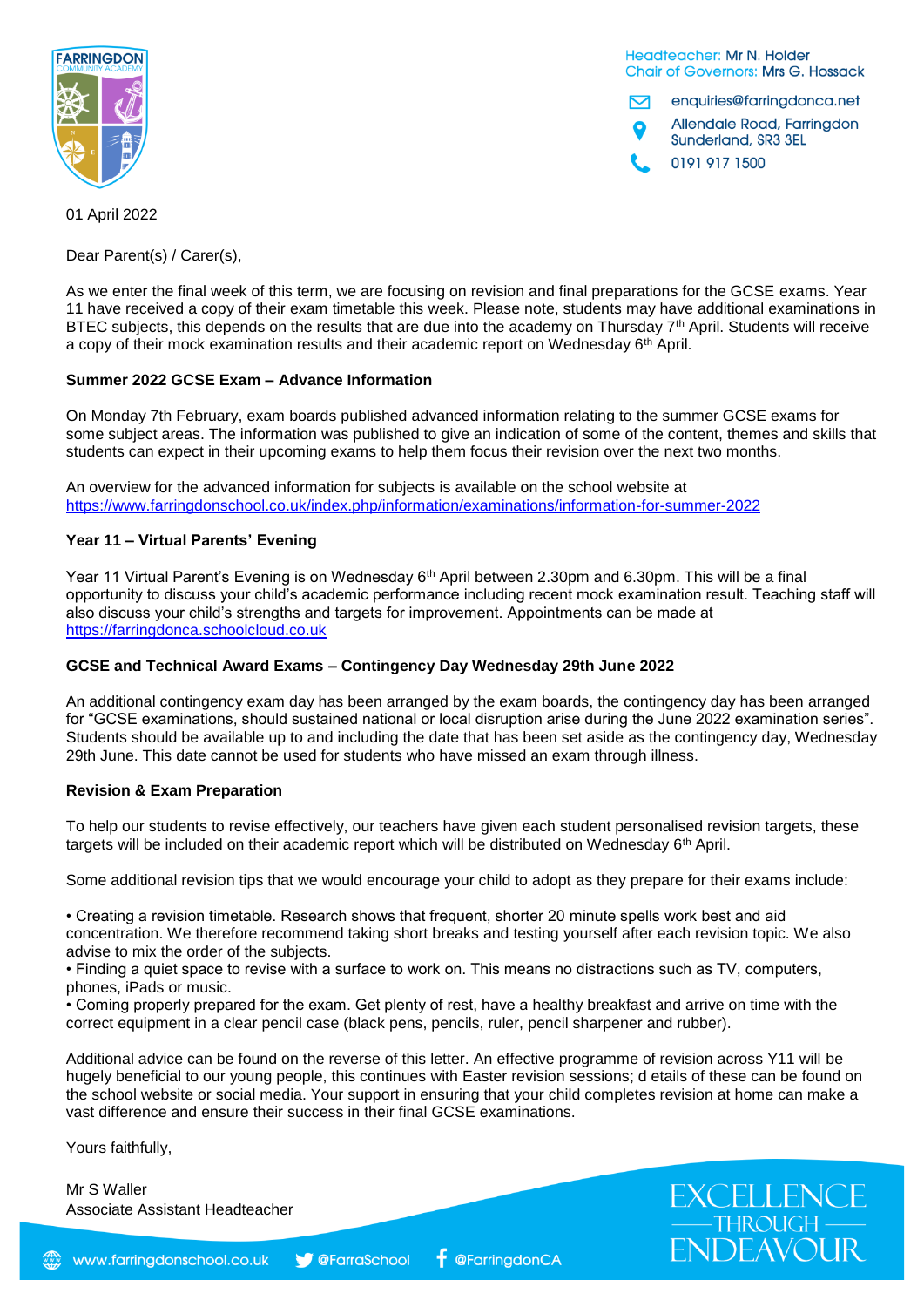

Headteacher: Mr N. Holder **Chair of Governors: Mrs G. Hossack** 

enquiries@farringdonca.net N

Allendale Road, Farringdon Sunderland, SR3 3EL

0191 917 1500

01 April 2022

Dear Parent(s) / Carer(s),

As we enter the final week of this term, we are focusing on revision and final preparations for the GCSE exams. Year 11 have received a copy of their exam timetable this week. Please note, students may have additional examinations in BTEC subjects, this depends on the results that are due into the academy on Thursday 7<sup>th</sup> April. Students will receive a copy of their mock examination results and their academic report on Wednesday 6<sup>th</sup> April.

# **Summer 2022 GCSE Exam – Advance Information**

On Monday 7th February, exam boards published advanced information relating to the summer GCSE exams for some subject areas. The information was published to give an indication of some of the content, themes and skills that students can expect in their upcoming exams to help them focus their revision over the next two months.

An overview for the advanced information for subjects is available on the school website at <https://www.farringdonschool.co.uk/index.php/information/examinations/information-for-summer-2022>

### **Year 11 – Virtual Parents' Evening**

Year 11 Virtual Parent's Evening is on Wednesday 6<sup>th</sup> April between 2.30pm and 6.30pm. This will be a final opportunity to discuss your child's academic performance including recent mock examination result. Teaching staff will also discuss your child's strengths and targets for improvement. Appointments can be made at [https://farringdonca.schoolcloud.co.uk](https://farringdonca.schoolcloud.co.uk/)

# **GCSE and Technical Award Exams – Contingency Day Wednesday 29th June 2022**

An additional contingency exam day has been arranged by the exam boards, the contingency day has been arranged for "GCSE examinations, should sustained national or local disruption arise during the June 2022 examination series". Students should be available up to and including the date that has been set aside as the contingency day, Wednesday 29th June. This date cannot be used for students who have missed an exam through illness.

### **Revision & Exam Preparation**

To help our students to revise effectively, our teachers have given each student personalised revision targets, these targets will be included on their academic report which will be distributed on Wednesday 6th April.

Some additional revision tips that we would encourage your child to adopt as they prepare for their exams include:

• Creating a revision timetable. Research shows that frequent, shorter 20 minute spells work best and aid concentration. We therefore recommend taking short breaks and testing yourself after each revision topic. We also advise to mix the order of the subjects.

• Finding a quiet space to revise with a surface to work on. This means no distractions such as TV, computers, phones, iPads or music.

• Coming properly prepared for the exam. Get plenty of rest, have a healthy breakfast and arrive on time with the correct equipment in a clear pencil case (black pens, pencils, ruler, pencil sharpener and rubber).

Additional advice can be found on the reverse of this letter. An effective programme of revision across Y11 will be hugely beneficial to our young people, this continues with Easter revision sessions; d etails of these can be found on the school website or social media. Your support in ensuring that your child completes revision at home can make a vast difference and ensure their success in their final GCSE examinations.

Yours faithfully,

Mr S Waller Associate Assistant Headteacher